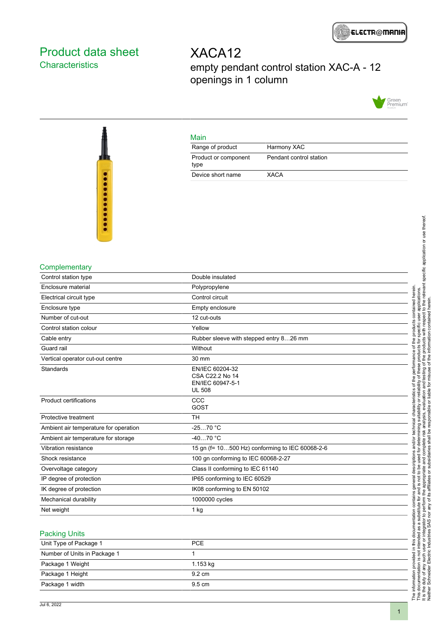

## <span id="page-0-0"></span>Product data sheet **Characteristics**

## XACA12 empty pendant control station XAC-A - 12 openings in 1 column



## Main

| Range of product             | Harmony XAC             |
|------------------------------|-------------------------|
| Product or component<br>type | Pendant control station |
| Device short name            | XACA                    |



#### **Complementary**

| Control station type                  | Double insulated                                                        |
|---------------------------------------|-------------------------------------------------------------------------|
| Enclosure material                    | Polypropylene                                                           |
| Electrical circuit type               | Control circuit                                                         |
| Enclosure type                        | Empty enclosure                                                         |
| Number of cut-out                     | 12 cut-outs                                                             |
| Control station colour                | Yellow                                                                  |
| Cable entry                           | Rubber sleeve with stepped entry 826 mm                                 |
| Guard rail                            | Without                                                                 |
| Vertical operator cut-out centre      | 30 mm                                                                   |
| Standards                             | EN/IEC 60204-32<br>CSA C22.2 No 14<br>EN/IEC 60947-5-1<br><b>UL 508</b> |
| <b>Product certifications</b>         | CCC<br>GOST                                                             |
| Protective treatment                  | <b>TH</b>                                                               |
| Ambient air temperature for operation | $-2570 °C$                                                              |
| Ambient air temperature for storage   | $-4070 °C$                                                              |
| Vibration resistance                  | 15 gn (f= 10500 Hz) conforming to IEC 60068-2-6                         |
| Shock resistance                      | 100 gn conforming to IEC 60068-2-27                                     |
| Overvoltage category                  | Class II conforming to IEC 61140                                        |
| IP degree of protection               | IP65 conforming to IEC 60529                                            |
| IK degree of protection               | IK08 conforming to EN 50102                                             |
| Mechanical durability                 | 1000000 cycles                                                          |
| Net weight                            | 1 kg                                                                    |
|                                       |                                                                         |

#### Packing Units

| Unit Type of Package 1       | <b>PCE</b>       |  |
|------------------------------|------------------|--|
| Number of Units in Package 1 |                  |  |
| Package 1 Weight             | 1.153 kg         |  |
| Package 1 Height             | $9.2 \text{ cm}$ |  |
| Package 1 width              | $9.5 \text{ cm}$ |  |
|                              |                  |  |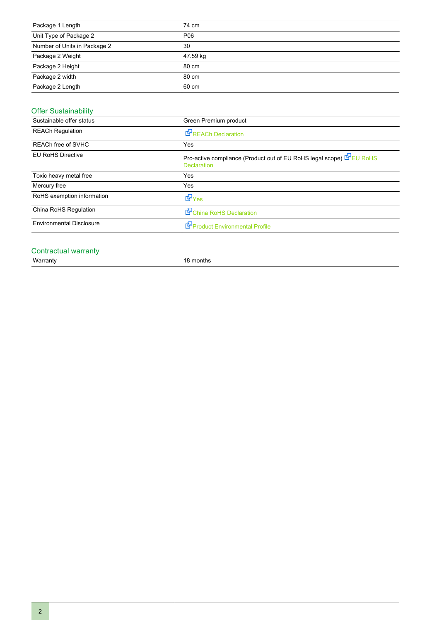| Package 1 Length             | 74 cm    |
|------------------------------|----------|
| Unit Type of Package 2       | P06      |
| Number of Units in Package 2 | 30       |
| Package 2 Weight             | 47.59 kg |
| Package 2 Height             | 80 cm    |
| Package 2 width              | 80 cm    |
| Package 2 Length             | 60 cm    |

### Offer Sustainability

| Sustainable offer status        | Green Premium product                                                                      |
|---------------------------------|--------------------------------------------------------------------------------------------|
| <b>REACh Regulation</b>         | REACh Declaration                                                                          |
| REACh free of SVHC              | Yes                                                                                        |
| <b>EU RoHS Directive</b>        | Pro-active compliance (Product out of EU RoHS legal scope) E EU RoHS<br><b>Declaration</b> |
| Toxic heavy metal free          | Yes                                                                                        |
| Mercury free                    | Yes                                                                                        |
| RoHS exemption information      | dor Yes                                                                                    |
| China RoHS Regulation           | China RoHS Declaration                                                                     |
| <b>Environmental Disclosure</b> | Product Environmental Profile                                                              |

# Contractual warranty<br>Warranty

18 months